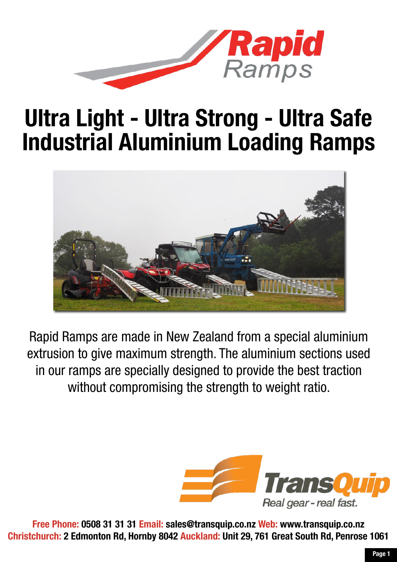

### Ultra Light - Ultra Strong - Ultra Safe [Industrial Aluminium Loading Ramps](https://www.transquip.co.nz/s.nl?search=ramps)



Rapid Ramps are made in New Zealand from a special aluminium extrusion to give maximum strength. The aluminium sections used in our ramps are specially designed to provide the best traction without compromising the strength to weight ratio.



Free Phone: 0508 31 31 31 Email: sales@transquip.co.nz Web: www.transquip.co.nz [Christchurch: 2 Edmonton Rd, Hornby 8042 Auckland: Unit 29, 761 Great South Rd, Penrose 1061](https://www.transquip.co.nz/Contact-Us/)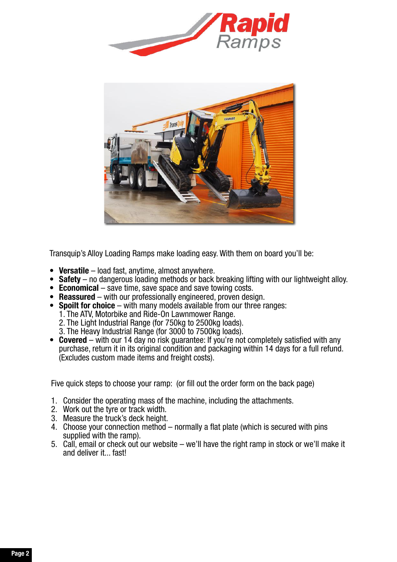



Transquip's Alloy Loading Ramps make loading easy. With them on board you'll be:

- Versatile load fast, anytime, almost anywhere.
- Safety no dangerous loading methods or back breaking lifting with our lightweight alloy.
- Economical save time, save space and save towing costs.
- Reassured with our professionally engineered, proven design.
- Spoilt for choice with many models available from our three ranges:
	- 1. The ATV, Motorbike and Ride-On Lawnmower Range.
	- 2. The Light Industrial Range (for 750kg to 2500kg loads).
	- 3. The Heavy Industrial Range (for 3000 to 7500kg loads).
- Covered with our 14 day no risk guarantee: If you're not completely satisfied with any purchase, return it in its original condition and packaging within 14 days for a full refund. (Excludes custom made items and freight costs).

Five quick steps to choose your ramp: (or fill out the order form on the back page)

- 1. Consider the operating mass of the machine, including the attachments.
- 2. Work out the tyre or track width.
- 3. Measure the truck's deck height.
- 4. Choose your connection method normally a flat plate (which is secured with pins supplied with the ramp).
- 5. Call, email or check out our website we'll have the right ramp in stock or we'll make it and deliver it... fast!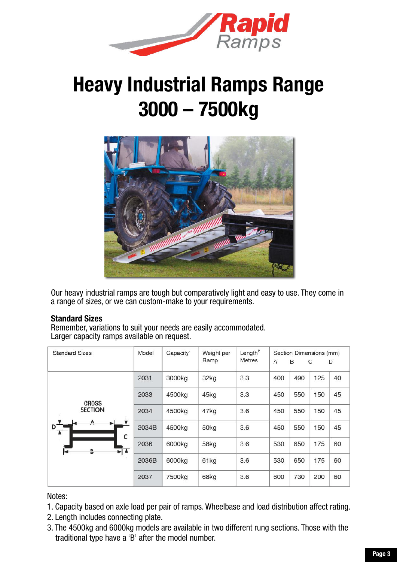

### [Heavy Industrial Ramps Range](https://www.transquip.co.nz/Products/Civil-Construction-Site-Safety-Equipment-Loading-Ramps-Heavy-Industrial-Ramps-3000-7500kg/) 3000 – 7500kg



Our heavy industrial ramps are tough but comparatively light and easy to use. They come in a range of sizes, or we can custom-make to your requirements.

#### Standard Sizes

Remember, variations to suit your needs are easily accommodated. Larger capacity ramps available on request.

| <b>Standard Sizes</b>        | Model | Capacity <sup>1</sup> | Weight per<br>Ramp | Length <sup>2</sup><br><b>Metres</b> | A   | B   | Section Dimensions (mm)<br>C | D  |
|------------------------------|-------|-----------------------|--------------------|--------------------------------------|-----|-----|------------------------------|----|
|                              | 2031  | 3000kg                | 32kg               | 3.3                                  | 400 | 490 | 125                          | 40 |
| <b>CROSS</b>                 | 2033  | 4500kg                | 45kg               | 3.3                                  | 450 | 550 | 150                          | 45 |
| <b>SECTION</b>               | 2034  | 4500kg                | 47kg               | 3.6                                  | 450 | 550 | 150                          | 45 |
| A<br>$D_{\overline{A}}$<br>c | 2034B | 4500kg                | 50kg               | 3.6                                  | 450 | 550 | 150                          | 45 |
| ► ▲<br>B<br>l⊲               | 2036  | 6000kg                | 58kg               | 3.6                                  | 530 | 650 | 175                          | 60 |
|                              | 2036B | 6000kg                | 61kg               | 3.6                                  | 530 | 650 | 175                          | 60 |
|                              | 2037  | 7500kg                | 68kg               | 3.6                                  | 600 | 730 | 200                          | 60 |

#### Notes:

- 1. Capacity based on axle load per pair of ramps. Wheelbase and load distribution affect rating.
- 2. Length includes connecting plate.
- 3. The 4500kg and 6000kg models are available in two different rung sections. Those with the traditional type have a 'B' after the model number.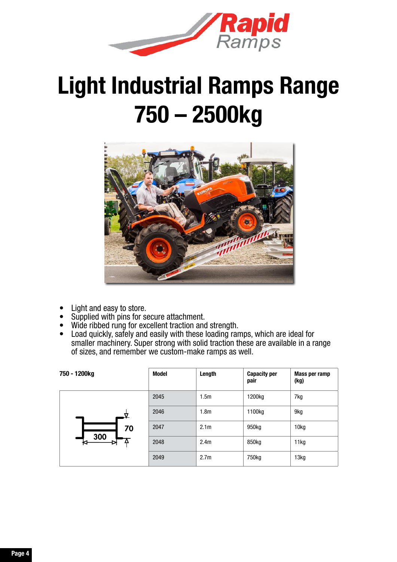

## [Light Industrial Ramps Range](https://www.transquip.co.nz/Products/Civil-Construction-Site-Safety-Equipment-Loading-Ramps-Light-Industrial-Ramps-750-2500kg/) 750 – 2500kg



- Light and easy to store.
- Supplied with pins for secure attachment.
- Wide ribbed rung for excellent traction and strength.
- Load quickly, safely and easily with these loading ramps, which are ideal for smaller machinery. Super strong with solid traction these are available in a range of sizes, and remember we custom-make ramps as well.

| 750 - 1200kg | <b>Model</b> | Length           | <b>Capacity per</b><br>pair | Mass per ramp<br>(kg) |
|--------------|--------------|------------------|-----------------------------|-----------------------|
|              | 2045         | 1.5 <sub>m</sub> | 1200kg                      | 7kg                   |
|              | 2046         | 1.8 <sub>m</sub> | 1100kg                      | 9kg                   |
| 70           | 2047         | 2.1 <sub>m</sub> | 950kg                       | 10 <sub>kg</sub>      |
| 300          | 2048         | 2.4 <sub>m</sub> | 850kg                       | 11kg                  |
|              | 2049         | 2.7 <sub>m</sub> | 750kg                       | 13kg                  |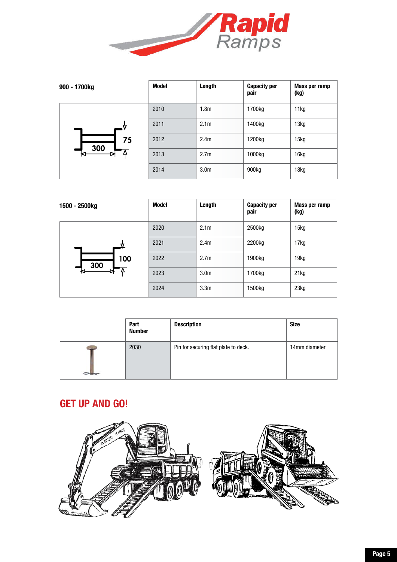

| 900 - 1700kg | Model | Length           | <b>Capacity per</b><br>pair | Mass per ramp<br>(kg) |
|--------------|-------|------------------|-----------------------------|-----------------------|
|              | 2010  | 1.8 <sub>m</sub> | 1700kg                      | 11kg                  |
|              | 2011  | 2.1 <sub>m</sub> | 1400kg                      | 13kg                  |
| 75           | 2012  | 2.4 <sub>m</sub> | 1200kg                      | 15kg                  |
| 300          | 2013  | 2.7 <sub>m</sub> | 1000kg                      | 16kg                  |
|              | 2014  | 3.0 <sub>m</sub> | 900kg                       | 18kg                  |

| 1500 - 2500kg | Model | Length           | <b>Capacity per</b><br>pair | Mass per ramp<br>(kg) |
|---------------|-------|------------------|-----------------------------|-----------------------|
|               | 2020  | 2.1 <sub>m</sub> | 2500kg                      | 15kg                  |
|               | 2021  | 2.4 <sub>m</sub> | 2200kg                      | 17kg                  |
| 100<br>300    | 2022  | 2.7 <sub>m</sub> | 1900kg                      | 19kg                  |
| ĸ             | 2023  | 3.0 <sub>m</sub> | 1700kg                      | 21kg                  |
|               | 2024  | 3.3 <sub>m</sub> | 1500kg                      | 23kg                  |

| Part<br><b>Number</b> | <b>Description</b>                   | <b>Size</b>   |
|-----------------------|--------------------------------------|---------------|
| 2030                  | Pin for securing flat plate to deck. | 14mm diameter |

#### GET UP AND GO!

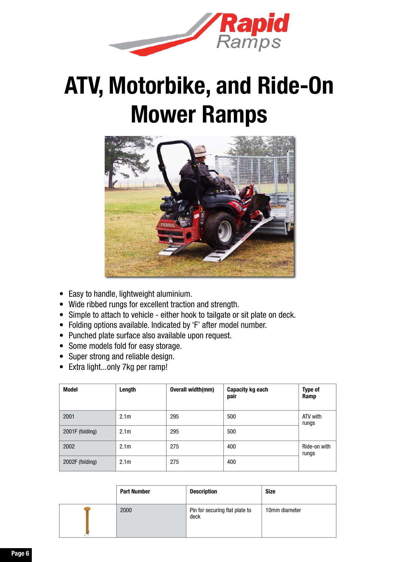

## [ATV, Motorbike, and Ride-On](https://www.transquip.co.nz/Products/Civil-Construction-Site-Safety-Equipment-Loading-Ramps-Light-Industrial-Ramps-750-2500kg/) Mower Ramps



- Easy to handle, lightweight aluminium.
- Wide ribbed rungs for excellent traction and strength.
- Simple to attach to vehicle either hook to tailgate or sit plate on deck.
- Folding options available. Indicated by 'F' after model number.
- Punched plate surface also available upon request.
- Some models fold for easy storage.
- Super strong and reliable design.
- Extra light...only 7kg per ramp!

| <b>Model</b>    | Length           | Overall width(mm) | Capacity kg each<br>pair | Type of<br>Ramp       |
|-----------------|------------------|-------------------|--------------------------|-----------------------|
| 2001            | 2.1 <sub>m</sub> | 295               | 500                      | ATV with<br>rungs     |
| 2001F (folding) | 2.1 <sub>m</sub> | 295               | 500                      |                       |
| 2002            | 2.1 <sub>m</sub> | 275               | 400                      | Ride-on with<br>rungs |
| 2002F (folding) | 2.1 <sub>m</sub> | 275               | 400                      |                       |

| <b>Part Number</b> | <b>Description</b>                     | <b>Size</b>   |
|--------------------|----------------------------------------|---------------|
| 2000               | Pin for securing flat plate to<br>deck | 10mm diameter |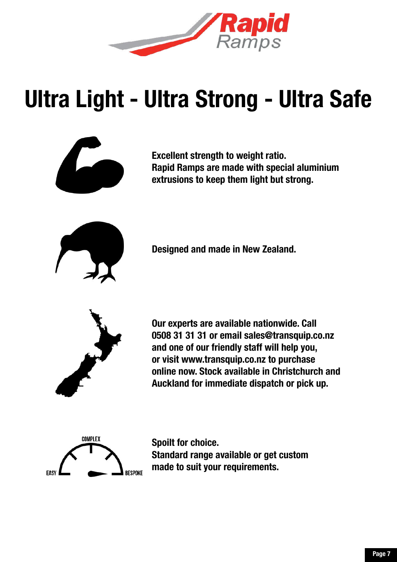

# Ultra Light - Ultra Strong - Ultra Safe



Excellent strength to weight ratio. Rapid Ramps are made with special aluminium extrusions to keep them light but strong.



Designed and made in New Zealand.



Our experts are available nationwide. Call 0508 31 31 31 or email sales@transquip.co.nz and one of our friendly staff will help you, or visit www.transquip.co.nz to purchase online now. Stock available in Christchurch and Auckland for immediate dispatch or pick up.



Spoilt for choice. Standard range available or get custom made to suit your requirements.